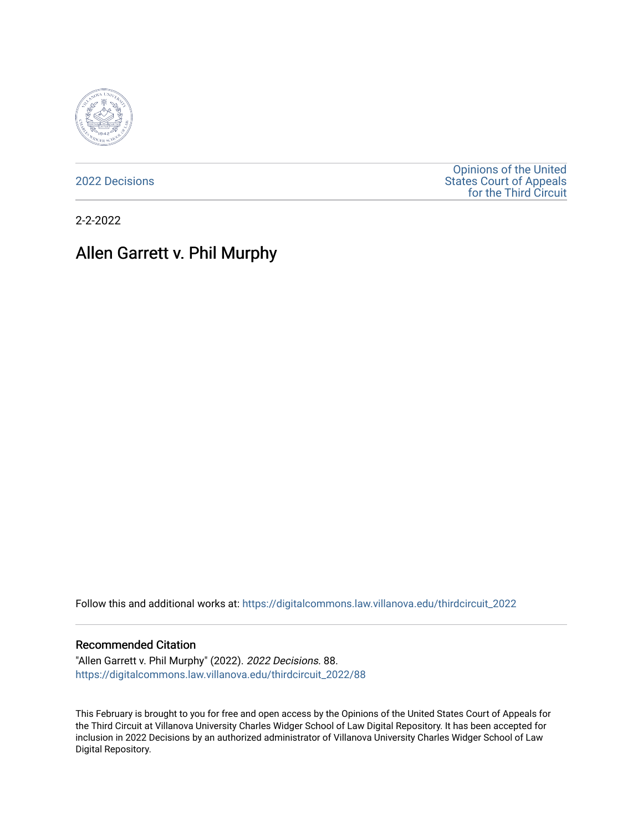

[2022 Decisions](https://digitalcommons.law.villanova.edu/thirdcircuit_2022)

[Opinions of the United](https://digitalcommons.law.villanova.edu/thirdcircuit)  [States Court of Appeals](https://digitalcommons.law.villanova.edu/thirdcircuit)  [for the Third Circuit](https://digitalcommons.law.villanova.edu/thirdcircuit) 

2-2-2022

# Allen Garrett v. Phil Murphy

Follow this and additional works at: [https://digitalcommons.law.villanova.edu/thirdcircuit\\_2022](https://digitalcommons.law.villanova.edu/thirdcircuit_2022?utm_source=digitalcommons.law.villanova.edu%2Fthirdcircuit_2022%2F88&utm_medium=PDF&utm_campaign=PDFCoverPages) 

#### Recommended Citation

"Allen Garrett v. Phil Murphy" (2022). 2022 Decisions. 88. [https://digitalcommons.law.villanova.edu/thirdcircuit\\_2022/88](https://digitalcommons.law.villanova.edu/thirdcircuit_2022/88?utm_source=digitalcommons.law.villanova.edu%2Fthirdcircuit_2022%2F88&utm_medium=PDF&utm_campaign=PDFCoverPages)

This February is brought to you for free and open access by the Opinions of the United States Court of Appeals for the Third Circuit at Villanova University Charles Widger School of Law Digital Repository. It has been accepted for inclusion in 2022 Decisions by an authorized administrator of Villanova University Charles Widger School of Law Digital Repository.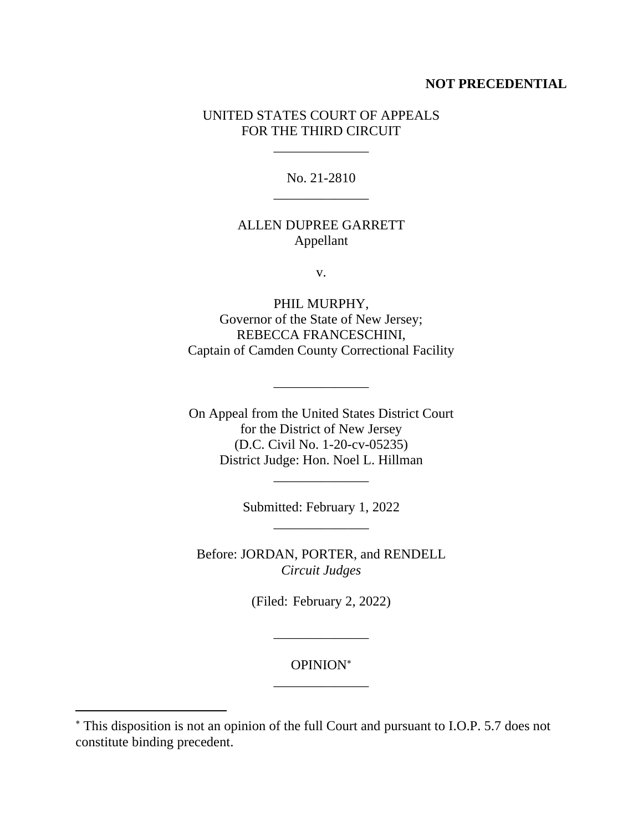#### **NOT PRECEDENTIAL**

### UNITED STATES COURT OF APPEALS FOR THE THIRD CIRCUIT

\_\_\_\_\_\_\_\_\_\_\_\_\_\_

No. 21-2810 \_\_\_\_\_\_\_\_\_\_\_\_\_\_

## ALLEN DUPREE GARRETT Appellant

v.

PHIL MURPHY, Governor of the State of New Jersey; REBECCA FRANCESCHINI, Captain of Camden County Correctional Facility

\_\_\_\_\_\_\_\_\_\_\_\_\_\_

On Appeal from the United States District Court for the District of New Jersey (D.C. Civil No. 1-20-cv-05235) District Judge: Hon. Noel L. Hillman

> Submitted: February 1, 2022 \_\_\_\_\_\_\_\_\_\_\_\_\_\_

\_\_\_\_\_\_\_\_\_\_\_\_\_\_

Before: JORDAN, PORTER, and RENDELL *Circuit Judges*

(Filed: February 2, 2022)

\_\_\_\_\_\_\_\_\_\_\_\_\_\_

## OPINION \_\_\_\_\_\_\_\_\_\_\_\_\_\_

This disposition is not an opinion of the full Court and pursuant to I.O.P. 5.7 does not constitute binding precedent.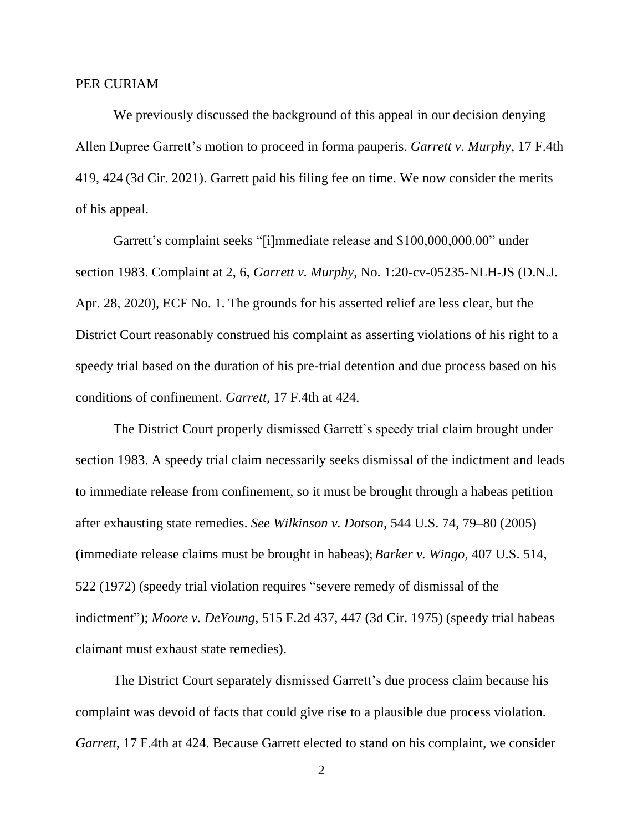#### PER CURIAM

We previously discussed the background of this appeal in our decision denying Allen Dupree Garrett's motion to proceed in forma pauperis. *Garrett v. Murphy*, 17 F.4th 419, 424 (3d Cir. 2021). Garrett paid his filing fee on time. We now consider the merits of his appeal.

Garrett's complaint seeks "[i]mmediate release and \$100,000,000.00" under section 1983. Complaint at 2, 6, *Garrett v. Murphy*, No. 1:20-cv-05235-NLH-JS (D.N.J. Apr. 28, 2020), ECF No. 1. The grounds for his asserted relief are less clear, but the District Court reasonably construed his complaint as asserting violations of his right to a speedy trial based on the duration of his pre-trial detention and due process based on his conditions of confinement. *Garrett*, 17 F.4th at 424.

The District Court properly dismissed Garrett's speedy trial claim brought under section 1983. A speedy trial claim necessarily seeks dismissal of the indictment and leads to immediate release from confinement, so it must be brought through a habeas petition after exhausting state remedies. *See Wilkinson v. Dotson*, 544 U.S. 74, 79–80 (2005) (immediate release claims must be brought in habeas); *Barker v. Wingo*, 407 U.S. 514, 522 (1972) (speedy trial violation requires "severe remedy of dismissal of the indictment"); *Moore v. DeYoung*, 515 F.2d 437, 447 (3d Cir. 1975) (speedy trial habeas claimant must exhaust state remedies).

The District Court separately dismissed Garrett's due process claim because his complaint was devoid of facts that could give rise to a plausible due process violation. *Garrett*, 17 F.4th at 424. Because Garrett elected to stand on his complaint, we consider